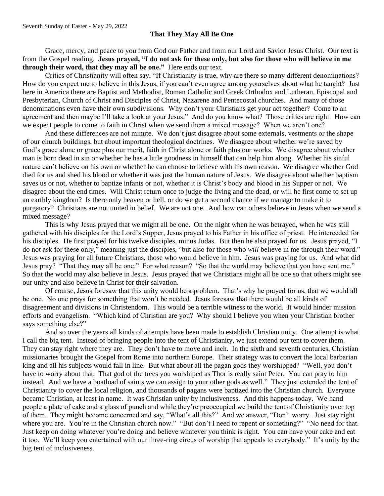## **That They May All Be One**

Grace, mercy, and peace to you from God our Father and from our Lord and Savior Jesus Christ. Our text is from the Gospel reading. **Jesus prayed, "I do not ask for these only, but also for those who will believe in me through their word, that they may all be one."** Here ends our text.

Critics of Christianity will often say, "If Christianity is true, why are there so many different denominations? How do you expect me to believe in this Jesus, if you can't even agree among yourselves about what he taught? Just here in America there are Baptist and Methodist, Roman Catholic and Greek Orthodox and Lutheran, Episcopal and Presbyterian, Church of Christ and Disciples of Christ, Nazarene and Pentecostal churches. And many of those denominations even have their own subdivisions. Why don't your Christians get your act together? Come to an agreement and then maybe I'll take a look at your Jesus." And do you know what? Those critics are right. How can we expect people to come to faith in Christ when we send them a mixed message? When we aren't one?

And these differences are not minute. We don't just disagree about some externals, vestments or the shape of our church buildings, but about important theological doctrines. We disagree about whether we're saved by God's grace alone or grace plus our merit, faith in Christ alone or faith plus our works. We disagree about whether man is born dead in sin or whether he has a little goodness in himself that can help him along. Whether his sinful nature can't believe on his own or whether he can choose to believe with his own reason. We disagree whether God died for us and shed his blood or whether it was just the human nature of Jesus. We disagree about whether baptism saves us or not, whether to baptize infants or not, whether it is Christ's body and blood in his Supper or not. We disagree about the end times. Will Christ return once to judge the living and the dead, or will he first come to set up an earthly kingdom? Is there only heaven or hell, or do we get a second chance if we manage to make it to purgatory? Christians are not united in belief. We are not one. And how can others believe in Jesus when we send a mixed message?

This is why Jesus prayed that we might all be one. On the night when he was betrayed, when he was still gathered with his disciples for the Lord's Supper, Jesus prayed to his Father in his office of priest. He interceded for his disciples. He first prayed for his twelve disciples, minus Judas. But then he also prayed for us. Jesus prayed, "I do not ask for these only," meaning just the disciples, "but also for those who *will* believe in me through their word." Jesus was praying for all future Christians, those who would believe in him. Jesus was praying for us. And what did Jesus pray? "That they may all be one." For what reason? "So that the world may believe that you have sent me." So that the world may also believe in Jesus. Jesus prayed that we Christians might all be one so that others might see our unity and also believe in Christ for their salvation.

Of course, Jesus foresaw that this unity would be a problem. That's why he prayed for us, that we would all be one. No one prays for something that won't be needed. Jesus foresaw that there would be all kinds of disagreement and divisions in Christendom. This would be a terrible witness to the world. It would hinder mission efforts and evangelism. "Which kind of Christian are you? Why should I believe you when your Christian brother says something else?"

And so over the years all kinds of attempts have been made to establish Christian unity. One attempt is what I call the big tent. Instead of bringing people into the tent of Christianity, we just extend our tent to cover them. They can stay right where they are. They don't have to move and inch. In the sixth and seventh centuries, Christian missionaries brought the Gospel from Rome into northern Europe. Their strategy was to convert the local barbarian king and all his subjects would fall in line. But what about all the pagan gods they worshipped? "Well, you don't have to worry about that. That god of the trees you worshiped as Thor is really saint Peter. You can pray to him instead. And we have a boatload of saints we can assign to your other gods as well." They just extended the tent of Christianity to cover the local religion, and thousands of pagans were baptized into the Christian church. Everyone became Christian, at least in name. It was Christian unity by inclusiveness. And this happens today. We hand people a plate of cake and a glass of punch and while they're preoccupied we build the tent of Christianity over top of them. They might become concerned and say, "What's all this?" And we answer, "Don't worry. Just stay right where you are. You're in the Christian church now." "But don't I need to repent or something?" "No need for that. Just keep on doing whatever you're doing and believe whatever you think is right. You can have your cake and eat it too. We'll keep you entertained with our three-ring circus of worship that appeals to everybody." It's unity by the big tent of inclusiveness.